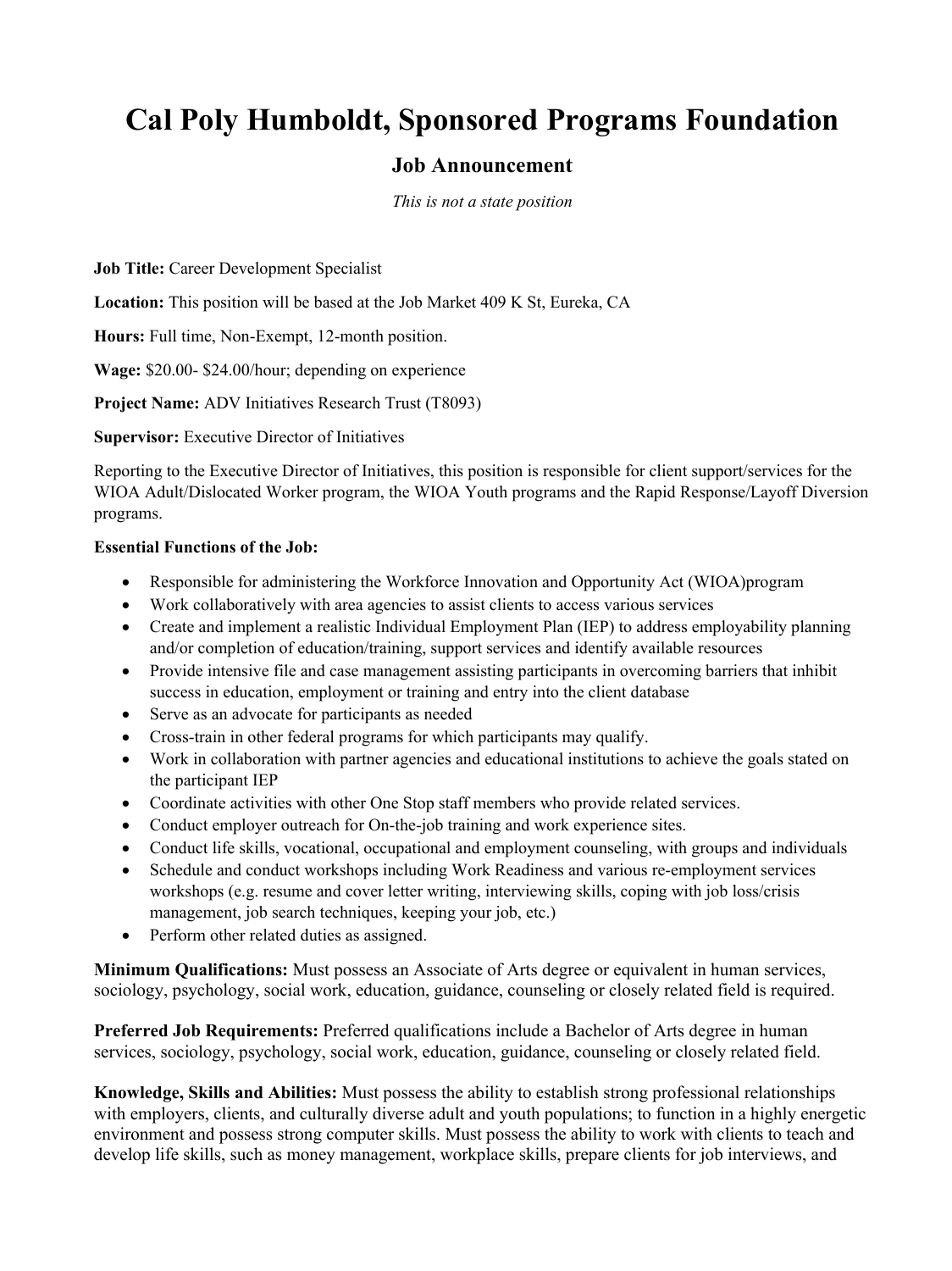## **Cal Poly Humboldt, Sponsored Programs Foundation**

## **Job Announcement**

*This is not a state position*

**Job Title:** Career Development Specialist

**Location:** This position will be based at the Job Market 409 K St, Eureka, CA

**Hours:** Full time, Non-Exempt, 12-month position.

**Wage:** \$20.00- \$24.00/hour; depending on experience

**Project Name:** ADV Initiatives Research Trust (T8093)

**Supervisor:** Executive Director of Initiatives

Reporting to the Executive Director of Initiatives, this position is responsible for client support/services for the WIOA Adult/Dislocated Worker program, the WIOA Youth programs and the Rapid Response/Layoff Diversion programs.

## **Essential Functions of the Job:**

- Responsible for administering the Workforce Innovation and Opportunity Act (WIOA)program
- Work collaboratively with area agencies to assist clients to access various services
- Create and implement a realistic Individual Employment Plan (IEP) to address employability planning and/or completion of education/training, support services and identify available resources
- Provide intensive file and case management assisting participants in overcoming barriers that inhibit success in education, employment or training and entry into the client database
- Serve as an advocate for participants as needed
- Cross-train in other federal programs for which participants may qualify.
- Work in collaboration with partner agencies and educational institutions to achieve the goals stated on the participant IEP
- Coordinate activities with other One Stop staff members who provide related services.
- Conduct employer outreach for On-the-job training and work experience sites.
- Conduct life skills, vocational, occupational and employment counseling, with groups and individuals
- Schedule and conduct workshops including Work Readiness and various re-employment services workshops (e.g. resume and cover letter writing, interviewing skills, coping with job loss/crisis management, job search techniques, keeping your job, etc.)
- Perform other related duties as assigned.

**Minimum Qualifications:** Must possess an Associate of Arts degree or equivalent in human services, sociology, psychology, social work, education, guidance, counseling or closely related field is required.

**Preferred Job Requirements:** Preferred qualifications include a Bachelor of Arts degree in human services, sociology, psychology, social work, education, guidance, counseling or closely related field.

**Knowledge, Skills and Abilities:** Must possess the ability to establish strong professional relationships with employers, clients, and culturally diverse adult and youth populations; to function in a highly energetic environment and possess strong computer skills. Must possess the ability to work with clients to teach and develop life skills, such as money management, workplace skills, prepare clients for job interviews, and